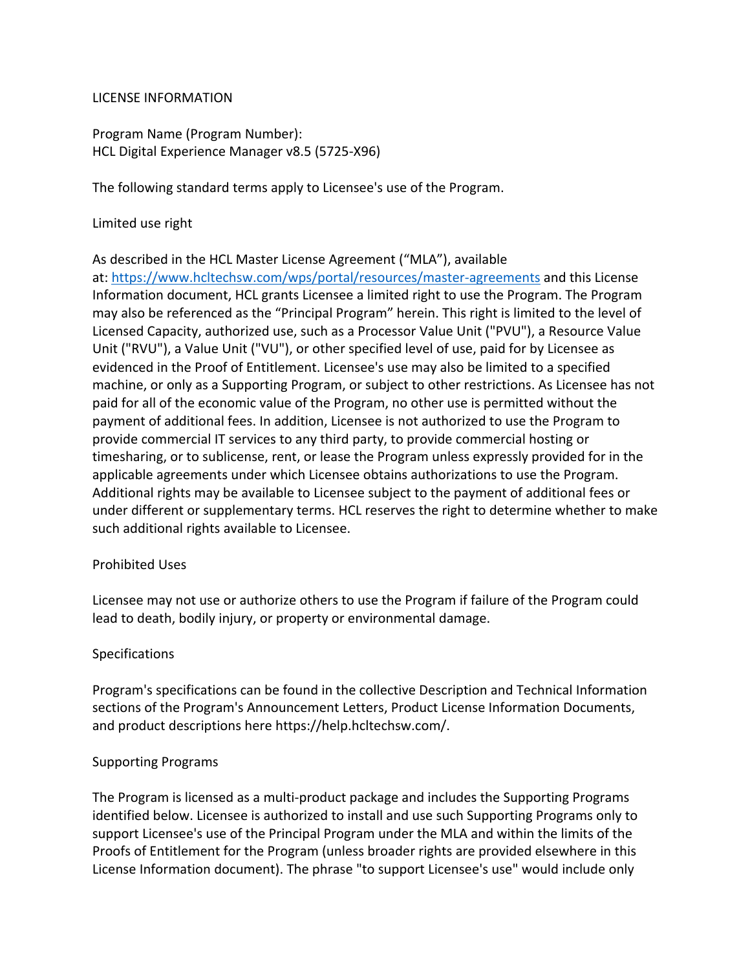#### LICENSE INFORMATION

Program Name (Program Number): HCL Digital Experience Manager v8.5 (5725-X96)

The following standard terms apply to Licensee's use of the Program.

#### Limited use right

As described in the HCL Master License Agreement ("MLA"), available at: https://www.hcltechsw.com/wps/portal/resources/master-agreements and this License Information document, HCL grants Licensee a limited right to use the Program. The Program may also be referenced as the "Principal Program" herein. This right is limited to the level of Licensed Capacity, authorized use, such as a Processor Value Unit ("PVU"), a Resource Value Unit ("RVU"), a Value Unit ("VU"), or other specified level of use, paid for by Licensee as evidenced in the Proof of Entitlement. Licensee's use may also be limited to a specified machine, or only as a Supporting Program, or subject to other restrictions. As Licensee has not paid for all of the economic value of the Program, no other use is permitted without the payment of additional fees. In addition, Licensee is not authorized to use the Program to provide commercial IT services to any third party, to provide commercial hosting or timesharing, or to sublicense, rent, or lease the Program unless expressly provided for in the applicable agreements under which Licensee obtains authorizations to use the Program. Additional rights may be available to Licensee subject to the payment of additional fees or under different or supplementary terms. HCL reserves the right to determine whether to make such additional rights available to Licensee.

#### Prohibited Uses

Licensee may not use or authorize others to use the Program if failure of the Program could lead to death, bodily injury, or property or environmental damage.

# Specifications

Program's specifications can be found in the collective Description and Technical Information sections of the Program's Announcement Letters, Product License Information Documents, and product descriptions here https://help.hcltechsw.com/.

# Supporting Programs

The Program is licensed as a multi-product package and includes the Supporting Programs identified below. Licensee is authorized to install and use such Supporting Programs only to support Licensee's use of the Principal Program under the MLA and within the limits of the Proofs of Entitlement for the Program (unless broader rights are provided elsewhere in this License Information document). The phrase "to support Licensee's use" would include only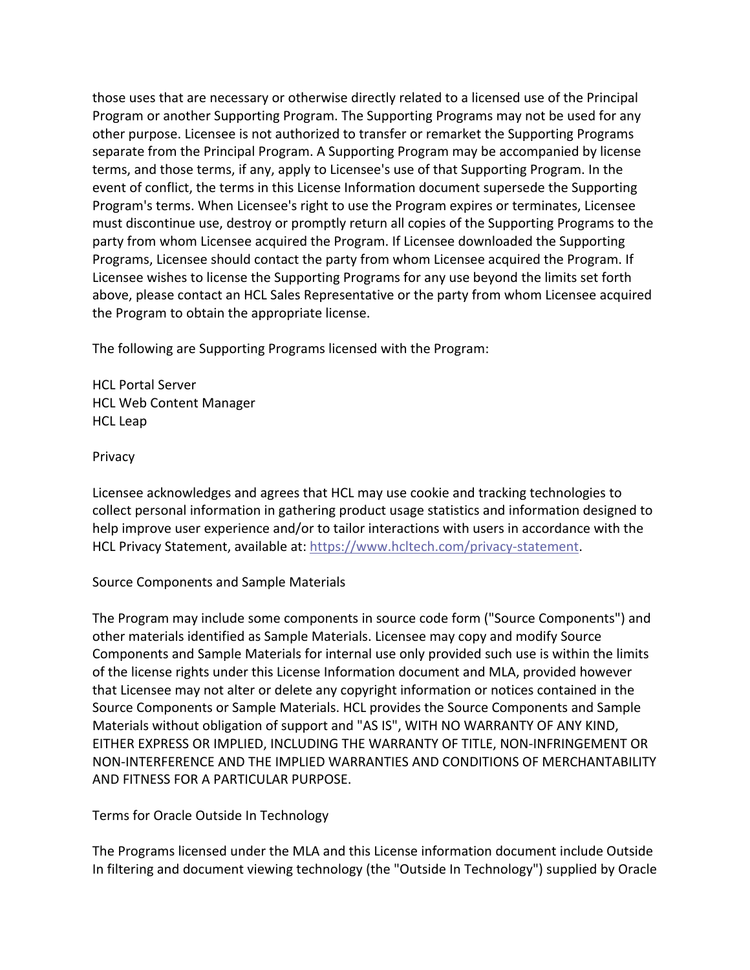those uses that are necessary or otherwise directly related to a licensed use of the Principal Program or another Supporting Program. The Supporting Programs may not be used for any other purpose. Licensee is not authorized to transfer or remarket the Supporting Programs separate from the Principal Program. A Supporting Program may be accompanied by license terms, and those terms, if any, apply to Licensee's use of that Supporting Program. In the event of conflict, the terms in this License Information document supersede the Supporting Program's terms. When Licensee's right to use the Program expires or terminates, Licensee must discontinue use, destroy or promptly return all copies of the Supporting Programs to the party from whom Licensee acquired the Program. If Licensee downloaded the Supporting Programs, Licensee should contact the party from whom Licensee acquired the Program. If Licensee wishes to license the Supporting Programs for any use beyond the limits set forth above, please contact an HCL Sales Representative or the party from whom Licensee acquired the Program to obtain the appropriate license.

The following are Supporting Programs licensed with the Program:

HCL Portal Server HCL Web Content Manager HCL Leap

Privacy

Licensee acknowledges and agrees that HCL may use cookie and tracking technologies to collect personal information in gathering product usage statistics and information designed to help improve user experience and/or to tailor interactions with users in accordance with the HCL Privacy Statement, available at: https://www.hcltech.com/privacy-statement.

Source Components and Sample Materials

The Program may include some components in source code form ("Source Components") and other materials identified as Sample Materials. Licensee may copy and modify Source Components and Sample Materials for internal use only provided such use is within the limits of the license rights under this License Information document and MLA, provided however that Licensee may not alter or delete any copyright information or notices contained in the Source Components or Sample Materials. HCL provides the Source Components and Sample Materials without obligation of support and "AS IS", WITH NO WARRANTY OF ANY KIND, EITHER EXPRESS OR IMPLIED, INCLUDING THE WARRANTY OF TITLE, NON-INFRINGEMENT OR NON-INTERFERENCE AND THE IMPLIED WARRANTIES AND CONDITIONS OF MERCHANTABILITY AND FITNESS FOR A PARTICULAR PURPOSE.

Terms for Oracle Outside In Technology

The Programs licensed under the MLA and this License information document include Outside In filtering and document viewing technology (the "Outside In Technology") supplied by Oracle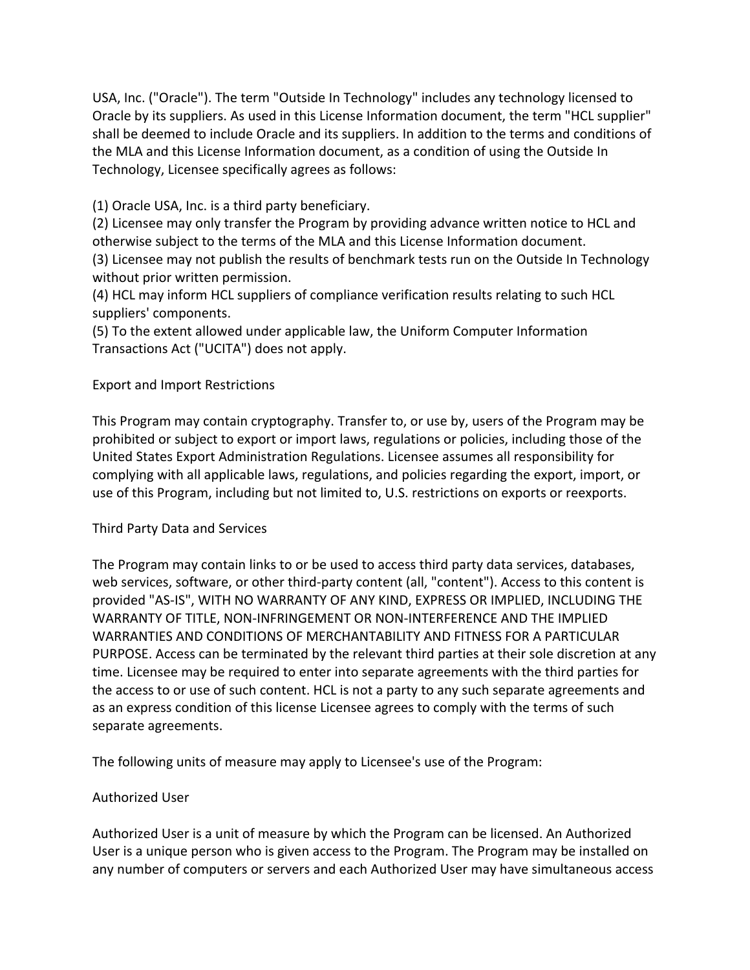USA, Inc. ("Oracle"). The term "Outside In Technology" includes any technology licensed to Oracle by its suppliers. As used in this License Information document, the term "HCL supplier" shall be deemed to include Oracle and its suppliers. In addition to the terms and conditions of the MLA and this License Information document, as a condition of using the Outside In Technology, Licensee specifically agrees as follows:

(1) Oracle USA, Inc. is a third party beneficiary.

(2) Licensee may only transfer the Program by providing advance written notice to HCL and otherwise subject to the terms of the MLA and this License Information document. (3) Licensee may not publish the results of benchmark tests run on the Outside In Technology without prior written permission.

(4) HCL may inform HCL suppliers of compliance verification results relating to such HCL suppliers' components.

(5) To the extent allowed under applicable law, the Uniform Computer Information Transactions Act ("UCITA") does not apply.

# Export and Import Restrictions

This Program may contain cryptography. Transfer to, or use by, users of the Program may be prohibited or subject to export or import laws, regulations or policies, including those of the United States Export Administration Regulations. Licensee assumes all responsibility for complying with all applicable laws, regulations, and policies regarding the export, import, or use of this Program, including but not limited to, U.S. restrictions on exports or reexports.

# Third Party Data and Services

The Program may contain links to or be used to access third party data services, databases, web services, software, or other third-party content (all, "content"). Access to this content is provided "AS-IS", WITH NO WARRANTY OF ANY KIND, EXPRESS OR IMPLIED, INCLUDING THE WARRANTY OF TITLE, NON-INFRINGEMENT OR NON-INTERFERENCE AND THE IMPLIED WARRANTIES AND CONDITIONS OF MERCHANTABILITY AND FITNESS FOR A PARTICULAR PURPOSE. Access can be terminated by the relevant third parties at their sole discretion at any time. Licensee may be required to enter into separate agreements with the third parties for the access to or use of such content. HCL is not a party to any such separate agreements and as an express condition of this license Licensee agrees to comply with the terms of such separate agreements.

The following units of measure may apply to Licensee's use of the Program:

# Authorized User

Authorized User is a unit of measure by which the Program can be licensed. An Authorized User is a unique person who is given access to the Program. The Program may be installed on any number of computers or servers and each Authorized User may have simultaneous access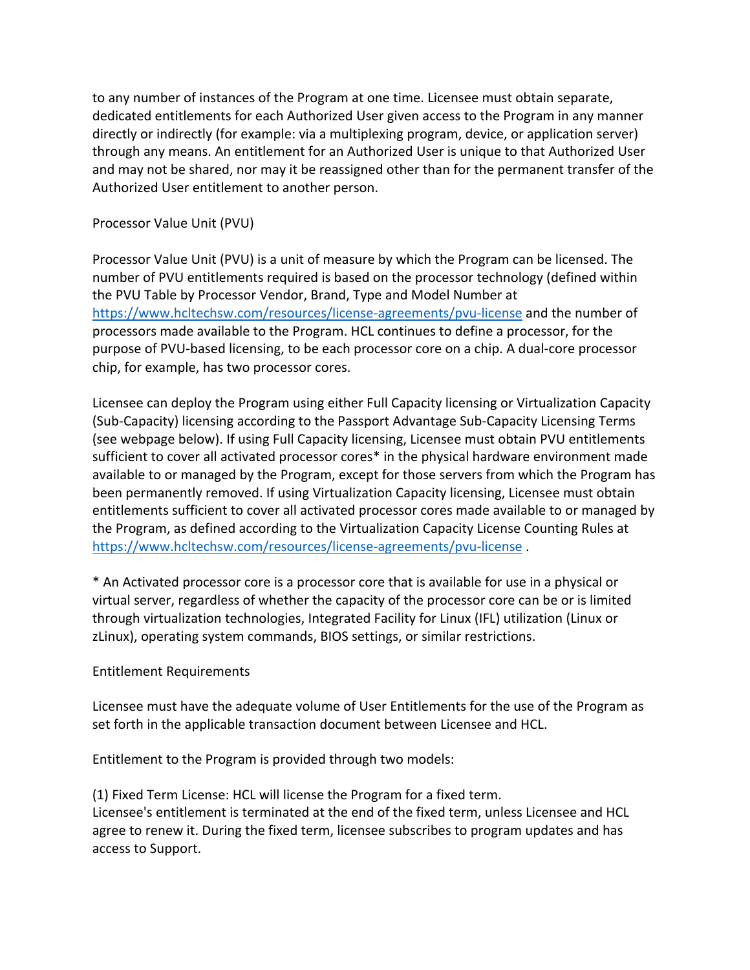to any number of instances of the Program at one time. Licensee must obtain separate, dedicated entitlements for each Authorized User given access to the Program in any manner directly or indirectly (for example: via a multiplexing program, device, or application server) through any means. An entitlement for an Authorized User is unique to that Authorized User and may not be shared, nor may it be reassigned other than for the permanent transfer of the Authorized User entitlement to another person.

Processor Value Unit (PVU)

Processor Value Unit (PVU) is a unit of measure by which the Program can be licensed. The number of PVU entitlements required is based on the processor technology (defined within the PVU Table by Processor Vendor, Brand, Type and Model Number at https://www.hcltechsw.com/resources/license-agreements/pvu-license and the number of processors made available to the Program. HCL continues to define a processor, for the purpose of PVU-based licensing, to be each processor core on a chip. A dual-core processor chip, for example, has two processor cores.

Licensee can deploy the Program using either Full Capacity licensing or Virtualization Capacity (Sub-Capacity) licensing according to the Passport Advantage Sub-Capacity Licensing Terms (see webpage below). If using Full Capacity licensing, Licensee must obtain PVU entitlements sufficient to cover all activated processor cores\* in the physical hardware environment made available to or managed by the Program, except for those servers from which the Program has been permanently removed. If using Virtualization Capacity licensing, Licensee must obtain entitlements sufficient to cover all activated processor cores made available to or managed by the Program, as defined according to the Virtualization Capacity License Counting Rules at https://www.hcltechsw.com/resources/license-agreements/pvu-license .

\* An Activated processor core is a processor core that is available for use in a physical or virtual server, regardless of whether the capacity of the processor core can be or is limited through virtualization technologies, Integrated Facility for Linux (IFL) utilization (Linux or zLinux), operating system commands, BIOS settings, or similar restrictions.

Entitlement Requirements

Licensee must have the adequate volume of User Entitlements for the use of the Program as set forth in the applicable transaction document between Licensee and HCL.

Entitlement to the Program is provided through two models:

(1) Fixed Term License: HCL will license the Program for a fixed term. Licensee's entitlement is terminated at the end of the fixed term, unless Licensee and HCL agree to renew it. During the fixed term, licensee subscribes to program updates and has access to Support.